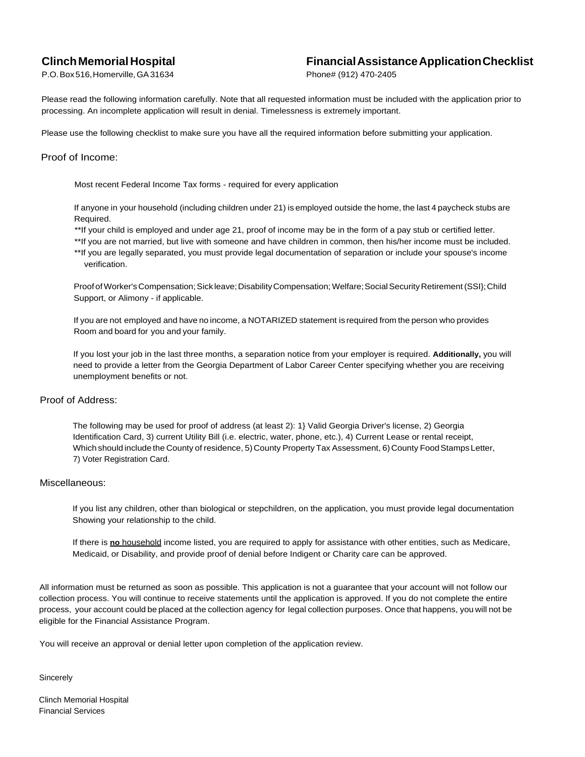## **ClinchMemorial Hospital**

**FinancialAssistanceApplicationChecklist**

P.O.Box516,Homerville,GA31634

Phone# (912) 470-2405

Please read the following information carefully. Note that all requested information must be included with the application prior to processing. An incomplete application will result in denial. Timelessness is extremely important.

Please use the following checklist to make sure you have all the required information before submitting your application.

#### Proof of Income:

Most recent Federal Income Tax forms - required for every application

If anyone in your household (including children under 21) is employed outside the home, the last 4 paycheck stubs are Required.

\*\*If your child is employed and under age 21, proof of income may be in the form of a pay stub or certified letter.

\*\*If you are not married, but live with someone and have children in common, then his/her income must be included. \*\*If you are legally separated, you must provide legal documentation of separation or include your spouse's income verification.

Proof of Worker's Compensation; Sick leave; Disability Compensation; Welfare; Social Security Retirement (SSI}; Child Support, or Alimony - if applicable.

If you are not employed and have no income, a NOTARIZED statement is required from the person who provides Room and board for you and your family.

If you lost your job in the last three months, a separation notice from your employer is required. **Additionally,** you will need to provide a letter from the Georgia Department of Labor Career Center specifying whether you are receiving unemployment benefits or not.

### Proof of Address:

The following may be used for proof of address (at least 2): 1} Valid Georgia Driver's license, 2) Georgia Identification Card, 3) current Utility Bill (i.e. electric, water, phone, etc.), 4) Current Lease or rental receipt, Which should include the County of residence, 5) County Property Tax Assessment, 6) County Food Stamps Letter, 7) Voter Registration Card.

#### Miscellaneous:

If you list any children, other than biological or stepchildren, on the application, you must provide legal documentation Showing your relationship to the child.

If there is **no** household income listed, you are required to apply for assistance with other entities, such as Medicare, Medicaid, or Disability, and provide proof of denial before Indigent or Charity care can be approved.

All information must be returned as soon as possible. This application is not a guarantee that your account will not follow our collection process. You will continue to receive statements until the application is approved. If you do not complete the entire process, your account could be placed at the collection agency for legal collection purposes. Once that happens, you will not be eligible for the Financial Assistance Program.

You will receive an approval or denial letter upon completion of the application review.

**Sincerely** 

Clinch Memorial Hospital Financial Services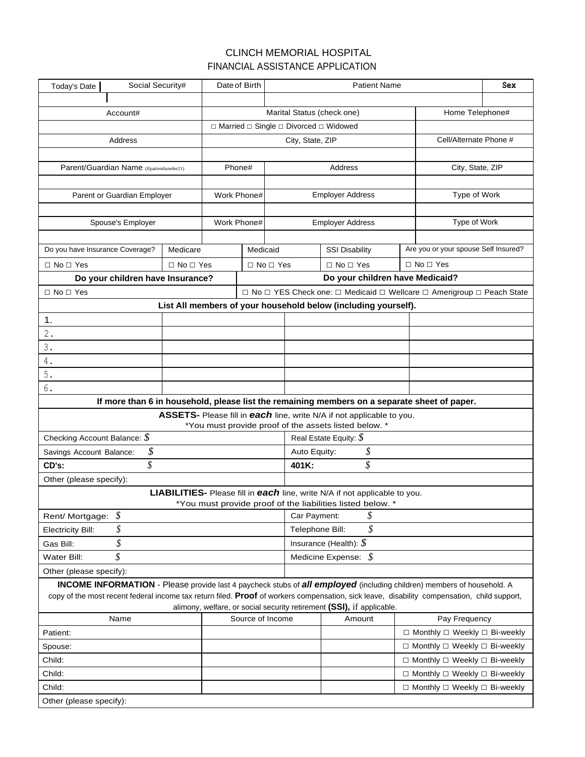### CLINCH MEMORIAL HOSPITAL FINANCIAL ASSISTANCE APPLICATION

| Today's Date                                                                                                                                                                                                                                                                        | Social Security#                 |                      |                                 | Date of Birth                    |                      |                                                                                                              | <b>Patient Name</b>                                                                          |                                               | Sex                                           |  |
|-------------------------------------------------------------------------------------------------------------------------------------------------------------------------------------------------------------------------------------------------------------------------------------|----------------------------------|----------------------|---------------------------------|----------------------------------|----------------------|--------------------------------------------------------------------------------------------------------------|----------------------------------------------------------------------------------------------|-----------------------------------------------|-----------------------------------------------|--|
|                                                                                                                                                                                                                                                                                     |                                  |                      |                                 |                                  |                      |                                                                                                              |                                                                                              |                                               |                                               |  |
|                                                                                                                                                                                                                                                                                     | Account#                         |                      |                                 |                                  |                      | Marital Status (check one)<br>Home Telephone#<br>□ Married □ Single □ Divorced □ Widowed<br>City, State, ZIP |                                                                                              |                                               |                                               |  |
|                                                                                                                                                                                                                                                                                     |                                  |                      |                                 |                                  |                      |                                                                                                              |                                                                                              |                                               |                                               |  |
|                                                                                                                                                                                                                                                                                     | Address                          |                      |                                 |                                  |                      |                                                                                                              |                                                                                              |                                               | Cell/Alternate Phone #                        |  |
|                                                                                                                                                                                                                                                                                     |                                  |                      |                                 |                                  |                      |                                                                                                              |                                                                                              |                                               |                                               |  |
| Parent/Guardian Name (Ifpatientlumder21)                                                                                                                                                                                                                                            |                                  |                      | Phone#                          |                                  |                      | Address                                                                                                      |                                                                                              |                                               | City, State, ZIP                              |  |
|                                                                                                                                                                                                                                                                                     |                                  |                      |                                 |                                  |                      |                                                                                                              |                                                                                              |                                               |                                               |  |
| Parent or Guardian Employer                                                                                                                                                                                                                                                         |                                  |                      | Work Phone#                     |                                  |                      | <b>Employer Address</b>                                                                                      |                                                                                              |                                               | Type of Work                                  |  |
|                                                                                                                                                                                                                                                                                     |                                  |                      |                                 |                                  |                      |                                                                                                              |                                                                                              |                                               |                                               |  |
|                                                                                                                                                                                                                                                                                     | Spouse's Employer                |                      | Work Phone#                     |                                  |                      | <b>Employer Address</b>                                                                                      |                                                                                              |                                               | Type of Work                                  |  |
|                                                                                                                                                                                                                                                                                     |                                  |                      |                                 |                                  |                      |                                                                                                              |                                                                                              |                                               |                                               |  |
| Do you have Insurance Coverage?                                                                                                                                                                                                                                                     |                                  | Medicare             |                                 | Medicaid                         |                      |                                                                                                              | <b>SSI Disability</b>                                                                        |                                               | Are you or your spouse Self Insured?          |  |
| $\Box$ No $\Box$ Yes                                                                                                                                                                                                                                                                |                                  | $\Box$ No $\Box$ Yes |                                 |                                  | $\Box$ No $\Box$ Yes |                                                                                                              | $\Box$ No $\Box$ Yes                                                                         |                                               | $\Box$ No $\Box$ Yes                          |  |
|                                                                                                                                                                                                                                                                                     | Do your children have Insurance? |                      | Do your children have Medicaid? |                                  |                      |                                                                                                              |                                                                                              |                                               |                                               |  |
| $\Box$ No $\Box$ Yes                                                                                                                                                                                                                                                                |                                  |                      |                                 |                                  |                      |                                                                                                              | □ No □ YES Check one: □ Medicaid □ Wellcare □ Amerigroup □ Peach State                       |                                               |                                               |  |
|                                                                                                                                                                                                                                                                                     |                                  |                      |                                 |                                  |                      |                                                                                                              | List All members of your household below (including yourself).                               |                                               |                                               |  |
| 1.                                                                                                                                                                                                                                                                                  |                                  |                      |                                 |                                  |                      |                                                                                                              |                                                                                              |                                               |                                               |  |
| $2$ .                                                                                                                                                                                                                                                                               |                                  |                      |                                 |                                  |                      |                                                                                                              |                                                                                              |                                               |                                               |  |
| 3.                                                                                                                                                                                                                                                                                  |                                  |                      |                                 |                                  |                      |                                                                                                              |                                                                                              |                                               |                                               |  |
| 4.                                                                                                                                                                                                                                                                                  |                                  |                      |                                 |                                  |                      |                                                                                                              |                                                                                              |                                               |                                               |  |
| 5.                                                                                                                                                                                                                                                                                  |                                  |                      |                                 |                                  |                      |                                                                                                              |                                                                                              |                                               |                                               |  |
| 6.                                                                                                                                                                                                                                                                                  |                                  |                      |                                 |                                  |                      |                                                                                                              |                                                                                              |                                               |                                               |  |
|                                                                                                                                                                                                                                                                                     |                                  |                      |                                 |                                  |                      |                                                                                                              | If more than 6 in household, please list the remaining members on a separate sheet of paper. |                                               |                                               |  |
| ASSETS- Please fill in each line, write N/A if not applicable to you.<br>*You must provide proof of the assets listed below. *                                                                                                                                                      |                                  |                      |                                 |                                  |                      |                                                                                                              |                                                                                              |                                               |                                               |  |
| Real Estate Equity: $\oint$<br>Checking Account Balance: $\mathcal S$                                                                                                                                                                                                               |                                  |                      |                                 |                                  |                      |                                                                                                              |                                                                                              |                                               |                                               |  |
| \$<br>Savings Account Balance:                                                                                                                                                                                                                                                      |                                  |                      |                                 | \$<br>Auto Equity:               |                      |                                                                                                              |                                                                                              |                                               |                                               |  |
| \$<br>CD's:                                                                                                                                                                                                                                                                         |                                  |                      |                                 | \$<br>401K:                      |                      |                                                                                                              |                                                                                              |                                               |                                               |  |
| Other (please specify):                                                                                                                                                                                                                                                             |                                  |                      |                                 |                                  |                      |                                                                                                              |                                                                                              |                                               |                                               |  |
|                                                                                                                                                                                                                                                                                     |                                  |                      |                                 |                                  |                      |                                                                                                              | LIABILITIES- Please fill in each line, write N/A if not applicable to you.                   |                                               |                                               |  |
| *You must provide proof of the liabilities listed below. *                                                                                                                                                                                                                          |                                  |                      |                                 |                                  |                      |                                                                                                              |                                                                                              |                                               |                                               |  |
| \$<br>Rent/ Mortgage:                                                                                                                                                                                                                                                               |                                  |                      |                                 | \$<br>Car Payment:               |                      |                                                                                                              |                                                                                              |                                               |                                               |  |
| \$<br><b>Electricity Bill:</b>                                                                                                                                                                                                                                                      |                                  |                      |                                 | \$<br>Telephone Bill:            |                      |                                                                                                              |                                                                                              |                                               |                                               |  |
| Gas Bill:                                                                                                                                                                                                                                                                           | \$                               |                      |                                 | Insurance (Health): $\mathcal S$ |                      |                                                                                                              |                                                                                              |                                               |                                               |  |
| \$<br>Water Bill:                                                                                                                                                                                                                                                                   |                                  |                      | Medicine Expense: $\sqrt{s}$    |                                  |                      |                                                                                                              |                                                                                              |                                               |                                               |  |
| Other (please specify):                                                                                                                                                                                                                                                             |                                  |                      |                                 |                                  |                      |                                                                                                              |                                                                                              |                                               |                                               |  |
| <b>INCOME INFORMATION</b> - Please provide last 4 paycheck stubs of <i>all employed</i> (including children) members of household. A<br>copy of the most recent federal income tax return filed. Proof of workers compensation, sick leave, disability compensation, child support, |                                  |                      |                                 |                                  |                      |                                                                                                              |                                                                                              |                                               |                                               |  |
| alimony, welfare, or social security retirement (SSI), if applicable.                                                                                                                                                                                                               |                                  |                      |                                 |                                  |                      |                                                                                                              |                                                                                              |                                               |                                               |  |
| Source of Income<br>Name                                                                                                                                                                                                                                                            |                                  |                      |                                 |                                  | Amount               |                                                                                                              | Pay Frequency                                                                                |                                               |                                               |  |
| Patient:                                                                                                                                                                                                                                                                            |                                  |                      |                                 |                                  |                      |                                                                                                              |                                                                                              | $\Box$ Monthly $\Box$ Weekly $\Box$ Bi-weekly |                                               |  |
| Spouse:                                                                                                                                                                                                                                                                             |                                  |                      |                                 |                                  |                      |                                                                                                              |                                                                                              |                                               | $\Box$ Monthly $\Box$ Weekly $\Box$ Bi-weekly |  |
| Child:                                                                                                                                                                                                                                                                              |                                  |                      |                                 |                                  |                      |                                                                                                              |                                                                                              |                                               | □ Monthly □ Weekly □ Bi-weekly                |  |
| Child:                                                                                                                                                                                                                                                                              |                                  |                      |                                 |                                  |                      |                                                                                                              |                                                                                              |                                               | □ Monthly □ Weekly □ Bi-weekly                |  |
| Child:                                                                                                                                                                                                                                                                              |                                  |                      |                                 |                                  |                      |                                                                                                              |                                                                                              |                                               | □ Monthly □ Weekly □ Bi-weekly                |  |
| Other (please specify):                                                                                                                                                                                                                                                             |                                  |                      |                                 |                                  |                      |                                                                                                              |                                                                                              |                                               |                                               |  |